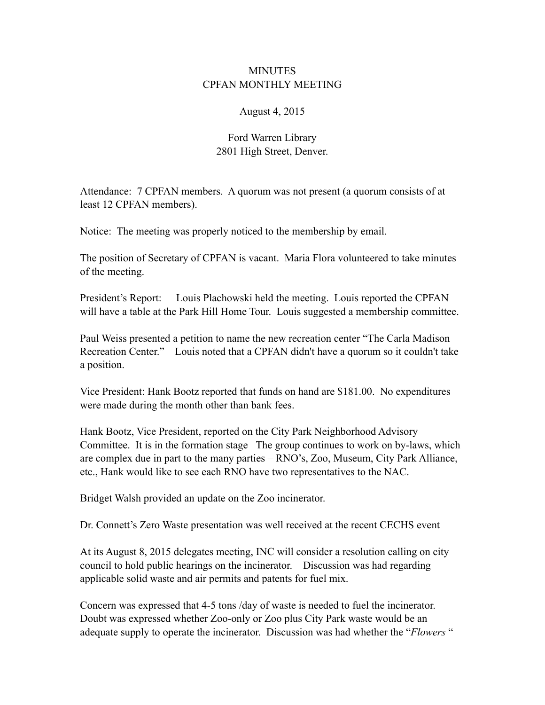## **MINUTES** CPFAN MONTHLY MEETING

## August 4, 2015

## Ford Warren Library 2801 High Street, Denver.

Attendance: 7 CPFAN members. A quorum was not present (a quorum consists of at least 12 CPFAN members).

Notice: The meeting was properly noticed to the membership by email.

The position of Secretary of CPFAN is vacant. Maria Flora volunteered to take minutes of the meeting.

President's Report: Louis Plachowski held the meeting. Louis reported the CPFAN will have a table at the Park Hill Home Tour. Louis suggested a membership committee.

Paul Weiss presented a petition to name the new recreation center "The Carla Madison Recreation Center." Louis noted that a CPFAN didn't have a quorum so it couldn't take a position.

Vice President: Hank Bootz reported that funds on hand are \$181.00. No expenditures were made during the month other than bank fees.

Hank Bootz, Vice President, reported on the City Park Neighborhood Advisory Committee. It is in the formation stage The group continues to work on by-laws, which are complex due in part to the many parties – RNO's, Zoo, Museum, City Park Alliance, etc., Hank would like to see each RNO have two representatives to the NAC.

Bridget Walsh provided an update on the Zoo incinerator.

Dr. Connett's Zero Waste presentation was well received at the recent CECHS event

At its August 8, 2015 delegates meeting, INC will consider a resolution calling on city council to hold public hearings on the incinerator. Discussion was had regarding applicable solid waste and air permits and patents for fuel mix.

Concern was expressed that 4-5 tons /day of waste is needed to fuel the incinerator. Doubt was expressed whether Zoo-only or Zoo plus City Park waste would be an adequate supply to operate the incinerator. Discussion was had whether the "*Flowers* "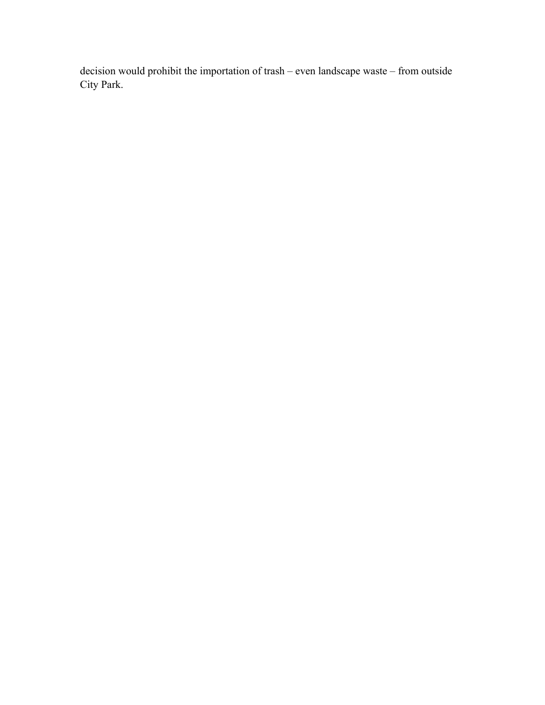decision would prohibit the importation of trash – even landscape waste – from outside City Park.